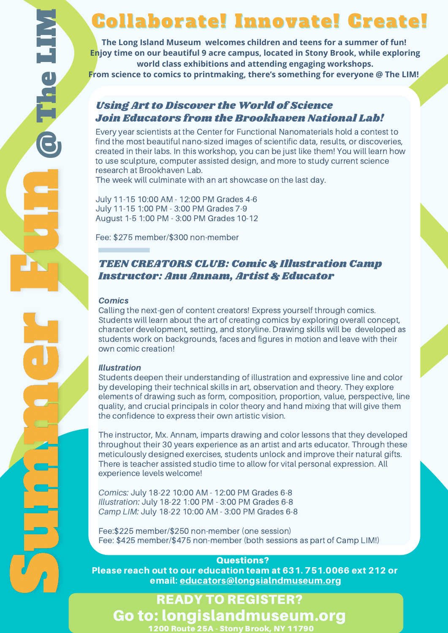## Collaborate! Innovate! Create!

**The Long Island Museum welcomes children and teens for a summer of fun! Enjoy time on our beautiful 9 acre campus, located in Stony Brook, while exploring world class exhibitions and attending engaging workshops. From science to comics to printmaking, there's something for everyone @ The LIM!**

### Using Art to Discover the World of Science Join Educators from the Brookhaven National Lab!

Every year scientists at the Center for Functional Nanomaterials hold a contest to find the most beautiful nano-sized images of scientific data, results, or discoveries, created in their labs. In this workshop, you can be just like them! You will learn how to use sculpture, computer assisted design, and more to study current science research at Brookhaven Lab.

The week will culminate with an art showcase on the last day.

July 11-15 10:00 AM - 12:00 PM Grades 4-6 July 11-15 1:00 PM - 3:00 PM Grades 7-9 August 1-5 1:00 PM - 3:00 PM Grades 10-12

Fee: \$275 member/\$300 non-member

### TEEN CREATORS CLUB: Comic & Illustration Camp Instructor: Anu Annam, Artist & Educator

#### **Comics**

Calling the next-gen of content creators! Express yourself through comics. Students will learn about the art of creating comics by exploring overall concept, character development, setting, and storyline. Drawing skills will be developed as students work on backgrounds, faces and figures in motion and leave with their own comic creation!

#### Illustration

Students deepen their understanding of illustration and expressive line and color by developing their technical skills in art, observation and theory. They explore elements of drawing such as form, composition, proportion, value, perspective, line quality, and crucial principals in color theory and hand mixing that will give them the confidence to express their own artistic vision.

The instructor, Mx. Annam, imparts drawing and color lessons that they developed throughout their 30 years experience as an artist and arts educator. Through these meticulously designed exercises, students unlock and improve their natural gifts. There is teacher assisted studio time to allow for vital personal expression. All experience levels welcome!

*Comics:* July 18-22 10:00 AM - 12:00 PM Grades 6-8 *Illustration:* July 18-22 1:00 PM - 3:00 PM Grades 6-8 *Camp LIM:* July 18-22 10:00 AM - 3:00 PM Grades 6-8

Fee:\$225 member/\$250 non-member (one session) Fee: \$425 member/\$475 non-member (both sessions as part of Camp LIM!)

### Questions?

Please reach out to our education team at 631. 751.0066 ext 212 or email: educators@longsialndmuseum.org

## READY TO REGISTER? Go to: longislandmuseum.org 1200 Route 25A - Stony Brook, NY 11790